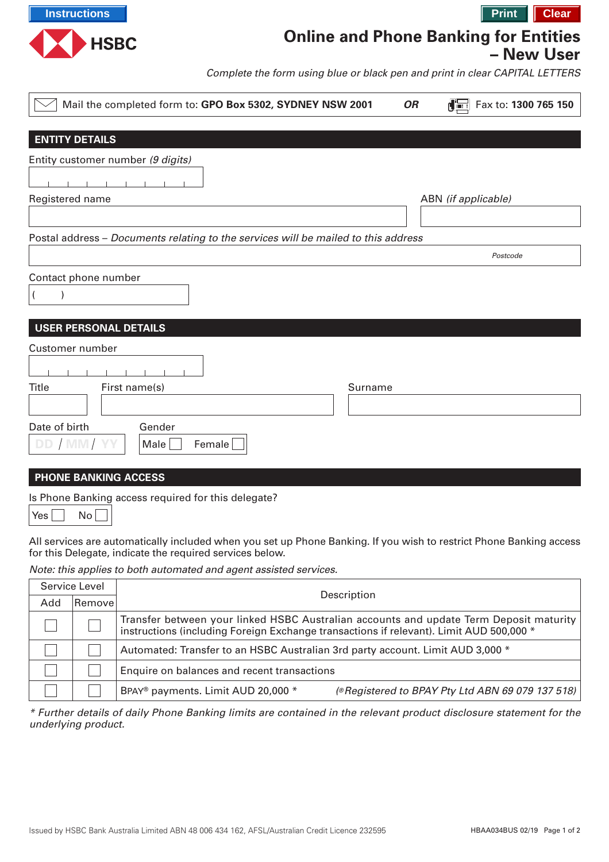

## **Online and Phone Banking for Entities**

**– New User**

Complete the form using blue or black pen and print in clear CAPITAL LETTERS

| Mail the completed form to: GPO Box 5302, SYDNEY NSW 2001                          | Fax to: 1300 765 150<br><b>OR</b> |  |  |  |  |  |
|------------------------------------------------------------------------------------|-----------------------------------|--|--|--|--|--|
|                                                                                    |                                   |  |  |  |  |  |
| <b>ENTITY DETAILS</b>                                                              |                                   |  |  |  |  |  |
| Entity customer number (9 digits)                                                  |                                   |  |  |  |  |  |
|                                                                                    |                                   |  |  |  |  |  |
| Registered name                                                                    | ABN (if applicable)               |  |  |  |  |  |
|                                                                                    |                                   |  |  |  |  |  |
| Postal address - Documents relating to the services will be mailed to this address |                                   |  |  |  |  |  |
|                                                                                    | Postcode                          |  |  |  |  |  |
| Contact phone number                                                               |                                   |  |  |  |  |  |
|                                                                                    |                                   |  |  |  |  |  |
|                                                                                    |                                   |  |  |  |  |  |
| <b>USER PERSONAL DETAILS</b>                                                       |                                   |  |  |  |  |  |
| Customer number                                                                    |                                   |  |  |  |  |  |
|                                                                                    |                                   |  |  |  |  |  |
| <b>Title</b>                                                                       | Surname                           |  |  |  |  |  |
| First name(s)                                                                      |                                   |  |  |  |  |  |
|                                                                                    |                                   |  |  |  |  |  |
| Date of birth<br>Gender                                                            |                                   |  |  |  |  |  |
| DD / MM/YY<br>Female<br>Male                                                       |                                   |  |  |  |  |  |
|                                                                                    |                                   |  |  |  |  |  |
| <b>PHONE BANKING ACCESS</b>                                                        |                                   |  |  |  |  |  |

Is Phone Banking access required for this delegate?

Yes  $\Box$  No  $\Box$ 

All services are automatically included when you set up Phone Banking. If you wish to restrict Phone Banking access for this Delegate, indicate the required services below.

Note: this applies to both automated and agent assisted services.

| Service Level |                |                                                                                                                                                                                   |  |
|---------------|----------------|-----------------------------------------------------------------------------------------------------------------------------------------------------------------------------------|--|
| Add           | <b>Removel</b> | Description                                                                                                                                                                       |  |
|               |                | Transfer between your linked HSBC Australian accounts and update Term Deposit maturity<br>instructions (including Foreign Exchange transactions if relevant). Limit AUD 500,000 * |  |
|               |                | Automated: Transfer to an HSBC Australian 3rd party account. Limit AUD 3,000 *                                                                                                    |  |
|               |                | Enquire on balances and recent transactions                                                                                                                                       |  |
|               |                | BPAY <sup>®</sup> payments. Limit AUD 20,000 *<br>(®Registered to BPAY Pty Ltd ABN 69 079 137 518)                                                                                |  |

\* Further details of daily Phone Banking limits are contained in the relevant product disclosure statement for the underlying product.